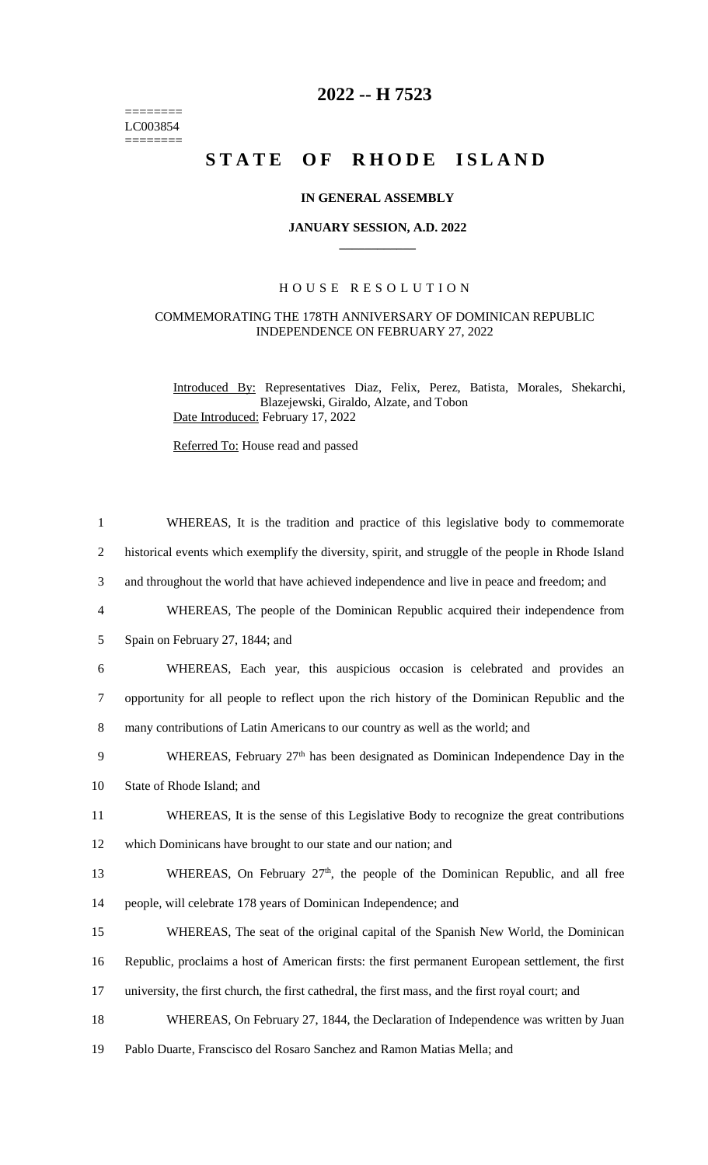======== LC003854  $=$ 

## **2022 -- H 7523**

# STATE OF RHODE ISLAND

### **IN GENERAL ASSEMBLY**

#### **JANUARY SESSION, A.D. 2022 \_\_\_\_\_\_\_\_\_\_\_\_**

### H O U S E R E S O L U T I O N

#### COMMEMORATING THE 178TH ANNIVERSARY OF DOMINICAN REPUBLIC INDEPENDENCE ON FEBRUARY 27, 2022

Introduced By: Representatives Diaz, Felix, Perez, Batista, Morales, Shekarchi, Blazejewski, Giraldo, Alzate, and Tobon Date Introduced: February 17, 2022

Referred To: House read and passed

| $\mathbf{1}$   | WHEREAS, It is the tradition and practice of this legislative body to commemorate                   |
|----------------|-----------------------------------------------------------------------------------------------------|
| $\overline{2}$ | historical events which exemplify the diversity, spirit, and struggle of the people in Rhode Island |
| 3              | and throughout the world that have achieved independence and live in peace and freedom; and         |
| $\overline{4}$ | WHEREAS, The people of the Dominican Republic acquired their independence from                      |
| 5              | Spain on February 27, 1844; and                                                                     |
| 6              | WHEREAS, Each year, this auspicious occasion is celebrated and provides an                          |
| 7              | opportunity for all people to reflect upon the rich history of the Dominican Republic and the       |
| 8              | many contributions of Latin Americans to our country as well as the world; and                      |
| 9              | WHEREAS, February $27th$ has been designated as Dominican Independence Day in the                   |
| 10             | State of Rhode Island; and                                                                          |
| 11             | WHEREAS, It is the sense of this Legislative Body to recognize the great contributions              |
| 12             | which Dominicans have brought to our state and our nation; and                                      |
| 13             | WHEREAS, On February $27th$ , the people of the Dominican Republic, and all free                    |
| 14             | people, will celebrate 178 years of Dominican Independence; and                                     |
| 15             | WHEREAS, The seat of the original capital of the Spanish New World, the Dominican                   |
| 16             | Republic, proclaims a host of American firsts: the first permanent European settlement, the first   |
| 17             | university, the first church, the first cathedral, the first mass, and the first royal court; and   |
| 18             | WHEREAS, On February 27, 1844, the Declaration of Independence was written by Juan                  |
| 19             | Pablo Duarte, Franscisco del Rosaro Sanchez and Ramon Matias Mella; and                             |